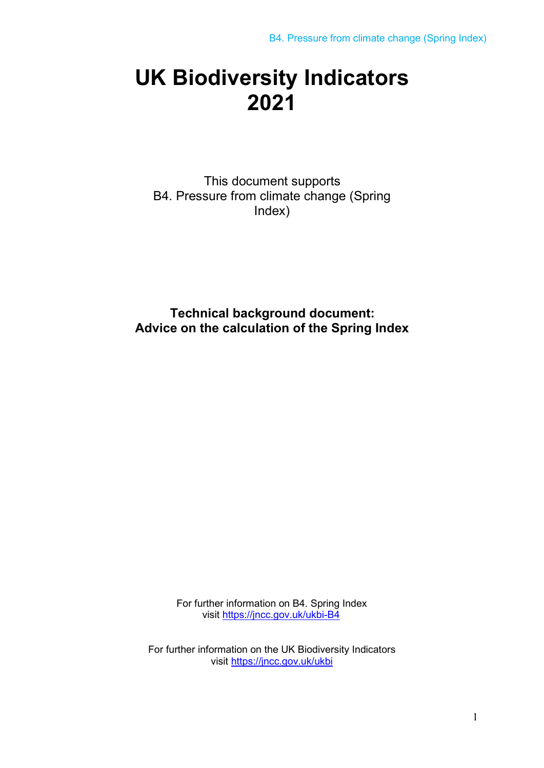## **UK Biodiversity Indicators 2021**

This document supports B4. Pressure from climate change (Spring Index)

**Technical background document: Advice on the calculation of the Spring Index**

> For further information on B4. Spring Index [visit https://jncc.gov.uk/ukbi-B4](https://jncc.gov.uk/ukbi-B4)

For further information on the UK Biodiversity Indicators [visit https://jncc.gov.uk/ukbi](https://jncc.gov.uk/ukbi)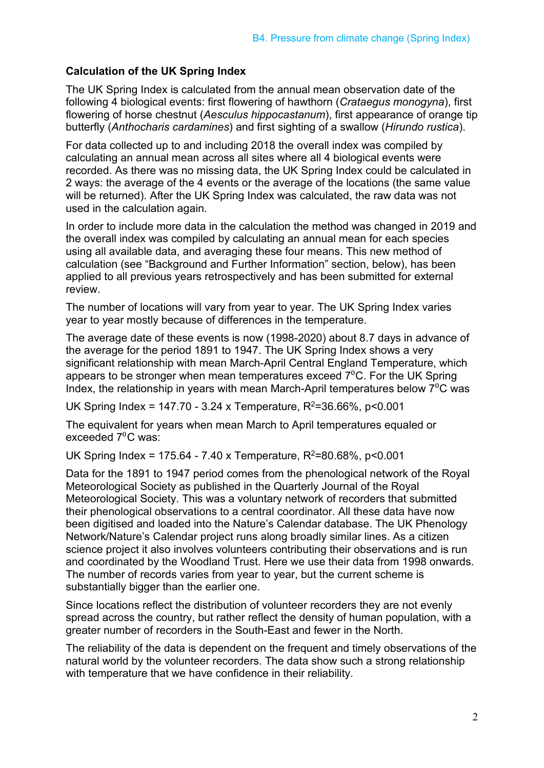## **Calculation of the UK Spring Index**

The UK Spring Index is calculated from the annual mean observation date of the following 4 biological events: first flowering of hawthorn (*Crataegus monogyna*), first flowering of horse chestnut (*Aesculus hippocastanum*), first appearance of orange tip butterfly (*Anthocharis cardamines*) and first sighting of a swallow (*Hirundo rustica*).

For data collected up to and including 2018 the overall index was compiled by calculating an annual mean across all sites where all 4 biological events were recorded. As there was no missing data, the UK Spring Index could be calculated in 2 ways: the average of the 4 events or the average of the locations (the same value will be returned). After the UK Spring Index was calculated, the raw data was not used in the calculation again.

In order to include more data in the calculation the method was changed in 2019 and the overall index was compiled by calculating an annual mean for each species using all available data, and averaging these four means. This new method of calculation (see "Background and Further Information" section, below), has been applied to all previous years retrospectively and has been submitted for external review.

The number of locations will vary from year to year. The UK Spring Index varies year to year mostly because of differences in the temperature.

The average date of these events is now (1998-2020) about 8.7 days in advance of the average for the period 1891 to 1947. The UK Spring Index shows a very significant relationship with mean March-April Central England Temperature, which appears to be stronger when mean temperatures exceed  $7^{\circ}$ C. For the UK Spring Index, the relationship in years with mean March-April temperatures below  $7^0C$  was

UK Spring Index = 147.70 - 3.24 x Temperature,  $R^2$ =36.66%, p<0.001

The equivalent for years when mean March to April temperatures equaled or exceeded 7<sup>°</sup>C was:

UK Spring Index = 175.64 - 7.40 x Temperature,  $R^2$ =80.68%, p<0.001

Data for the 1891 to 1947 period comes from the phenological network of the Royal Meteorological Society as published in the Quarterly Journal of the Royal Meteorological Society. This was a voluntary network of recorders that submitted their phenological observations to a central coordinator. All these data have now been digitised and loaded into the Nature's Calendar database. The UK Phenology Network/Nature's Calendar project runs along broadly similar lines. As a citizen science project it also involves volunteers contributing their observations and is run and coordinated by the Woodland Trust. Here we use their data from 1998 onwards. The number of records varies from year to year, but the current scheme is substantially bigger than the earlier one.

Since locations reflect the distribution of volunteer recorders they are not evenly spread across the country, but rather reflect the density of human population, with a greater number of recorders in the South-East and fewer in the North.

The reliability of the data is dependent on the frequent and timely observations of the natural world by the volunteer recorders. The data show such a strong relationship with temperature that we have confidence in their reliability.